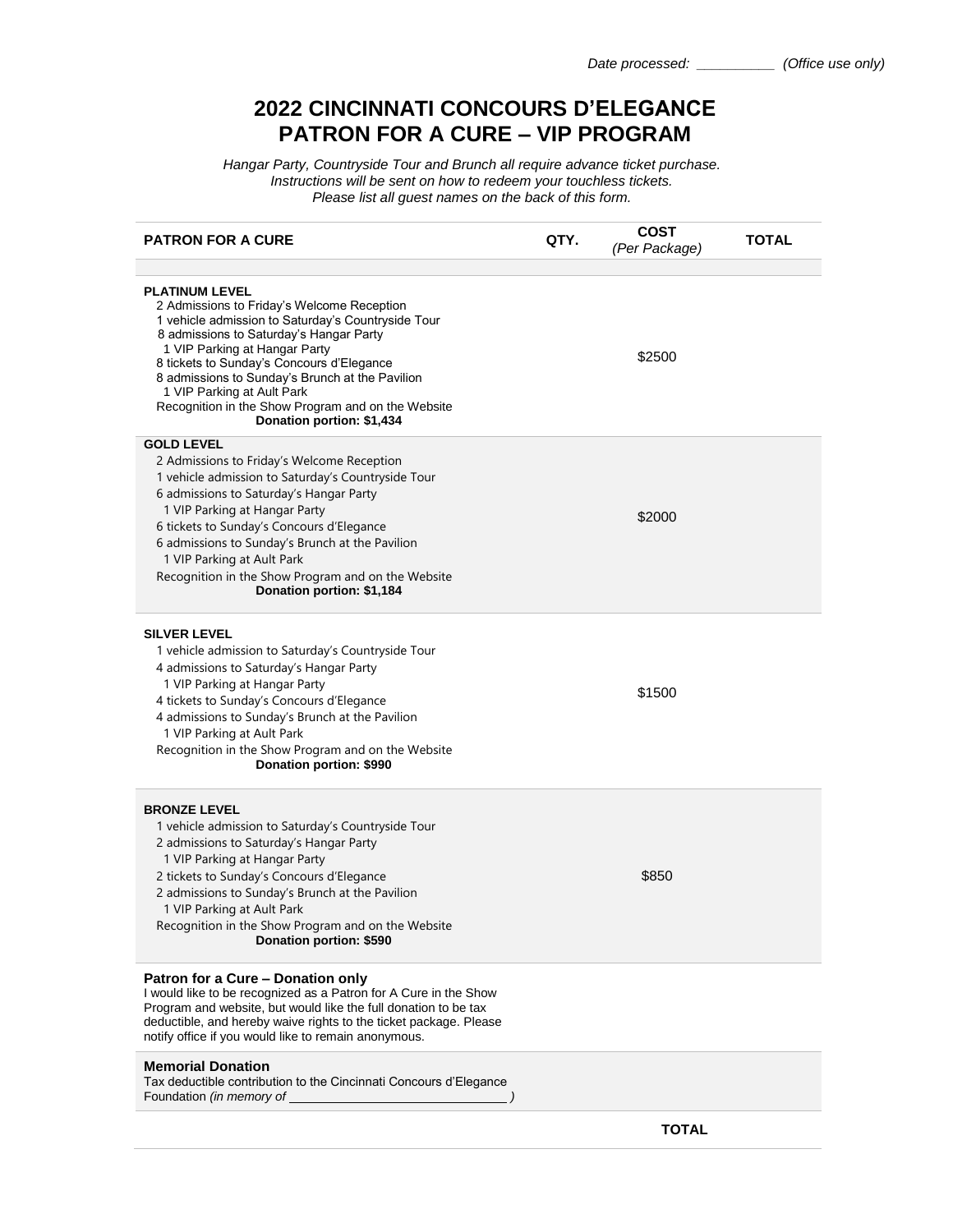## **2022 CINCINNATI CONCOURS D'ELEGANCE PATRON FOR A CURE – VIP PROGRAM**

*Hangar Party, Countryside Tour and Brunch all require advance ticket purchase. Instructions will be sent on how to redeem your touchless tickets. Please list all guest names on the back of this form.*

| <b>PATRON FOR A CURE</b>                                                                                                                                                                                                                                                                                                                                                                                               | QTY. | <b>COST</b><br>(Per Package) | <b>TOTAL</b> |
|------------------------------------------------------------------------------------------------------------------------------------------------------------------------------------------------------------------------------------------------------------------------------------------------------------------------------------------------------------------------------------------------------------------------|------|------------------------------|--------------|
|                                                                                                                                                                                                                                                                                                                                                                                                                        |      |                              |              |
| <b>PLATINUM LEVEL</b><br>2 Admissions to Friday's Welcome Reception<br>1 vehicle admission to Saturday's Countryside Tour<br>8 admissions to Saturday's Hangar Party<br>1 VIP Parking at Hangar Party<br>8 tickets to Sunday's Concours d'Elegance<br>8 admissions to Sunday's Brunch at the Pavilion<br>1 VIP Parking at Ault Park<br>Recognition in the Show Program and on the Website<br>Donation portion: \$1,434 |      | \$2500                       |              |
| <b>GOLD LEVEL</b>                                                                                                                                                                                                                                                                                                                                                                                                      |      |                              |              |
| 2 Admissions to Friday's Welcome Reception<br>1 vehicle admission to Saturday's Countryside Tour<br>6 admissions to Saturday's Hangar Party<br>1 VIP Parking at Hangar Party<br>6 tickets to Sunday's Concours d'Elegance<br>6 admissions to Sunday's Brunch at the Pavilion<br>1 VIP Parking at Ault Park<br>Recognition in the Show Program and on the Website<br>Donation portion: \$1,184                          |      | \$2000                       |              |
| <b>SILVER LEVEL</b><br>1 vehicle admission to Saturday's Countryside Tour<br>4 admissions to Saturday's Hangar Party<br>1 VIP Parking at Hangar Party<br>4 tickets to Sunday's Concours d'Elegance<br>4 admissions to Sunday's Brunch at the Pavilion<br>1 VIP Parking at Ault Park<br>Recognition in the Show Program and on the Website<br>Donation portion: \$990                                                   |      | \$1500                       |              |
| <b>BRONZE LEVEL</b><br>1 vehicle admission to Saturday's Countryside Tour<br>2 admissions to Saturday's Hangar Party<br>1 VIP Parking at Hangar Party<br>2 tickets to Sunday's Concours d'Elegance<br>2 admissions to Sunday's Brunch at the Pavilion<br>1 VIP Parking at Ault Park<br>Recognition in the Show Program and on the Website<br>Donation portion: \$590                                                   |      | \$850                        |              |
| Patron for a Cure - Donation only<br>I would like to be recognized as a Patron for A Cure in the Show<br>Program and website, but would like the full donation to be tax<br>deductible, and hereby waive rights to the ticket package. Please<br>notify office if you would like to remain anonymous.                                                                                                                  |      |                              |              |
| <b>Memorial Donation</b><br>Tax deductible contribution to the Cincinnati Concours d'Elegance<br>Foundation <i>(in memory of</i>                                                                                                                                                                                                                                                                                       |      |                              |              |